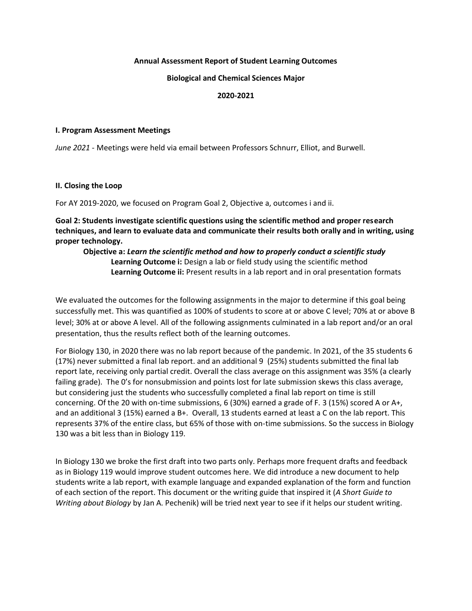#### **Annual Assessment Report of Student Learning Outcomes**

**Biological and Chemical Sciences Major**

#### **2020-2021**

#### **I. Program Assessment Meetings**

*June 2021* - Meetings were held via email between Professors Schnurr, Elliot, and Burwell.

#### **II. Closing the Loop**

For AY 2019-2020, we focused on Program Goal 2, Objective a, outcomes i and ii.

**Goal 2: Students investigate scientific questions using the scientific method and proper research techniques, and learn to evaluate data and communicate their results both orally and in writing, using proper technology.**

**Objective a:** *Learn the scientific method and how to properly conduct a scientific study* **Learning Outcome i:** Design a lab or field study using the scientific method **Learning Outcome ii:** Present results in a lab report and in oral presentation formats

We evaluated the outcomes for the following assignments in the major to determine if this goal being successfully met. This was quantified as 100% of students to score at or above C level; 70% at or above B level; 30% at or above A level. All of the following assignments culminated in a lab report and/or an oral presentation, thus the results reflect both of the learning outcomes.

For Biology 130, in 2020 there was no lab report because of the pandemic. In 2021, of the 35 students 6 (17%) never submitted a final lab report. and an additional 9 (25%) students submitted the final lab report late, receiving only partial credit. Overall the class average on this assignment was 35% (a clearly failing grade). The 0's for nonsubmission and points lost for late submission skews this class average, but considering just the students who successfully completed a final lab report on time is still concerning. Of the 20 with on-time submissions, 6 (30%) earned a grade of F. 3 (15%) scored A or A+, and an additional 3 (15%) earned a B+. Overall, 13 students earned at least a C on the lab report. This represents 37% of the entire class, but 65% of those with on-time submissions. So the success in Biology 130 was a bit less than in Biology 119.

In Biology 130 we broke the first draft into two parts only. Perhaps more frequent drafts and feedback as in Biology 119 would improve student outcomes here. We did introduce a new document to help students write a lab report, with example language and expanded explanation of the form and function of each section of the report. This document or the writing guide that inspired it (*A Short Guide to Writing about Biology* by Jan A. Pechenik) will be tried next year to see if it helps our student writing.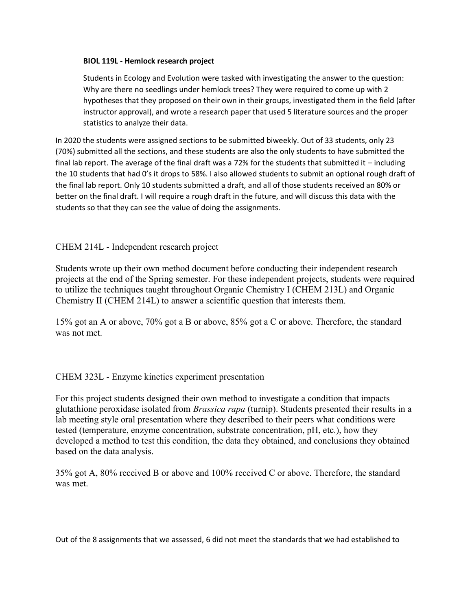### **BIOL 119L - Hemlock research project**

Students in Ecology and Evolution were tasked with investigating the answer to the question: Why are there no seedlings under hemlock trees? They were required to come up with 2 hypotheses that they proposed on their own in their groups, investigated them in the field (after instructor approval), and wrote a research paper that used 5 literature sources and the proper statistics to analyze their data.

In 2020 the students were assigned sections to be submitted biweekly. Out of 33 students, only 23 (70%) submitted all the sections, and these students are also the only students to have submitted the final lab report. The average of the final draft was a 72% for the students that submitted it – including the 10 students that had 0's it drops to 58%. I also allowed students to submit an optional rough draft of the final lab report. Only 10 students submitted a draft, and all of those students received an 80% or better on the final draft. I will require a rough draft in the future, and will discuss this data with the students so that they can see the value of doing the assignments.

# CHEM 214L - Independent research project

Students wrote up their own method document before conducting their independent research projects at the end of the Spring semester. For these independent projects, students were required to utilize the techniques taught throughout Organic Chemistry I (CHEM 213L) and Organic Chemistry II (CHEM 214L) to answer a scientific question that interests them.

15% got an A or above, 70% got a B or above, 85% got a C or above. Therefore, the standard was not met.

## CHEM 323L - Enzyme kinetics experiment presentation

For this project students designed their own method to investigate a condition that impacts glutathione peroxidase isolated from *Brassica rapa* (turnip). Students presented their results in a lab meeting style oral presentation where they described to their peers what conditions were tested (temperature, enzyme concentration, substrate concentration, pH, etc.), how they developed a method to test this condition, the data they obtained, and conclusions they obtained based on the data analysis.

35% got A, 80% received B or above and 100% received C or above. Therefore, the standard was met.

Out of the 8 assignments that we assessed, 6 did not meet the standards that we had established to